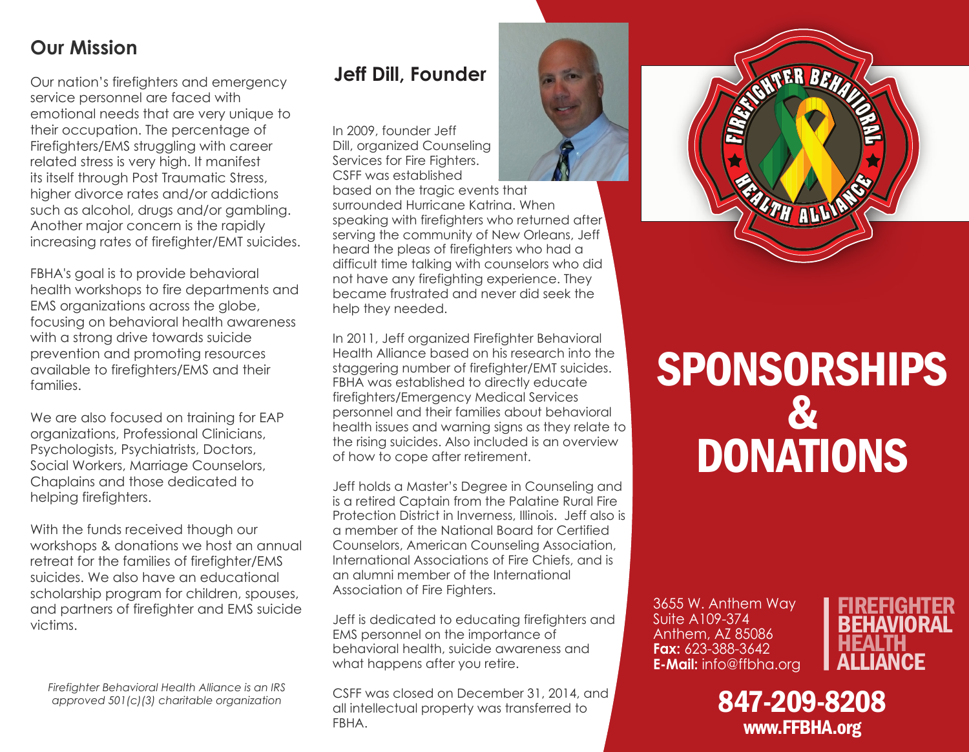## **Our Mission**

Our nation's firefighters and emergency service personnel are faced with emotional needs that are very unique to their occupation. The percentage of Firefighters/EMS struggling with career related stress is very high. It manifest its itself through Post Traumatic Stress, higher divorce rates and/or addictions such as alcohol, drugs and/or gambling. Another major concern is the rapidly increasing rates of firefighter/EMT suicides.

FBHA's goal is to provide behavioral health workshops to fire departments and EMS organizations across the globe, focusing on behavioral health awareness with a strong drive towards suicide prevention and promoting resources available to firefighters/EMS and their families.

We are also focused on training for EAP organizations, Professional Clinicians, Psychologists, Psychiatrists, Doctors, Social Workers, Marriage Counselors, Chaplains and those dedicated to helping firefighters.

With the funds received though our workshops & donations we host an annual retreat for the families of firefighter/EMS suicides. We also have an educational scholarship program for children, spouses, and partners of firefighter and EMS suicide victims.

*Firefighter Behavioral Health Alliance is an IRS approved 501(c)(3) charitable organization*

## **Jeff Dill, Founder**

In 2009, founder Jeff Dill, organized Counseling Services for Fire Fighters. CSFF was established

based on the tragic events that surrounded Hurricane Katrina. When speaking with firefighters who returned after serving the community of New Orleans, Jeff heard the pleas of firefighters who had a difficult time talking with counselors who did not have any firefighting experience. They became frustrated and never did seek the help they needed.

In 2011, Jeff organized Firefighter Behavioral Health Alliance based on his research into the staggering number of firefighter/EMT suicides. FBHA was established to directly educate firefighters/Emergency Medical Services personnel and their families about behavioral health issues and warning signs as they relate to the rising suicides. Also included is an overview of how to cope after retirement.

Jeff holds a Master's Degree in Counseling and is a retired Captain from the Palatine Rural Fire Protection District in Inverness, Illinois. Jeff also is a member of the National Board for Certified Counselors, American Counseling Association, International Associations of Fire Chiefs, and is an alumni member of the International Association of Fire Fighters.

Jeff is dedicated to educating firefighters and EMS personnel on the importance of behavioral health, suicide awareness and what happens after you retire.

CSFF was closed on December 31, 2014, and all intellectual property was transferred to FBHA.



## SPONSORSHIPS & DONATIONS

3655 W. Anthem Way Suite A109-374 Anthem, AZ 85086 **Fax:** 623-388-3642 **E-Mail:** info@ffbha.org



847-209-8208 www.FFBHA.org